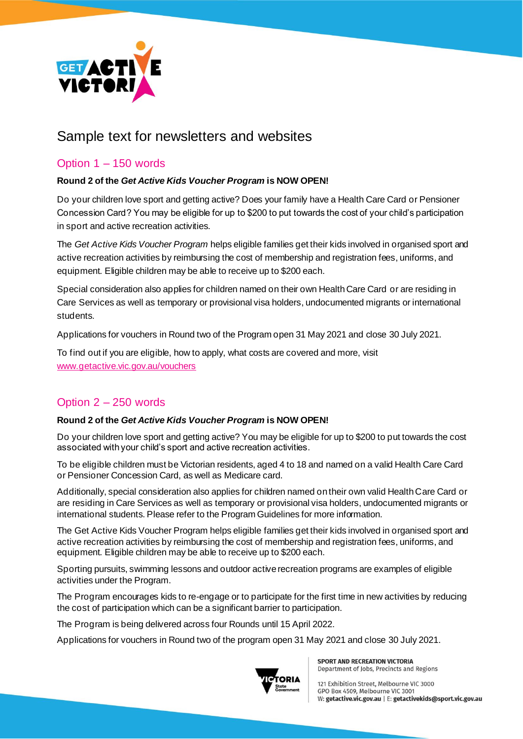

# Sample text for newsletters and websites

### Option 1 – 150 words

#### **Round 2 of the** *Get Active Kids Voucher Program* **is NOW OPEN!**

Do your children love sport and getting active? Does your family have a Health Care Card or Pensioner Concession Card? You may be eligible for up to \$200 to put towards the cost of your child's participation in sport and active recreation activities.

The *Get Active Kids Voucher Program* helps eligible families get their kids involved in organised sport and active recreation activities by reimbursing the cost of membership and registration fees, uniforms, and equipment. Eligible children may be able to receive up to \$200 each.

Special consideration also applies for children named on their own Health Care Card or are residing in Care Services as well as temporary or provisional visa holders, undocumented migrants or international students.

Applications for vouchers in Round two of the Program open 31 May 2021 and close 30 July 2021.

To find out if you are eligible, how to apply, what costs are covered and more, visit [www.getactive.vic.gov.au/vouchers](http://www.getactive.vic.gov.au/vouchers)

## Option 2 – 250 words

#### **Round 2 of the** *Get Active Kids Voucher Program* **is NOW OPEN!**

Do your children love sport and getting active? You may be eligible for up to \$200 to put towards the cost associated with your child's sport and active recreation activities.

To be eligible children must be Victorian residents, aged 4 to 18 and named on a valid Health Care Card or Pensioner Concession Card, as well as Medicare card.

Additionally, special consideration also applies for children named on their own valid Health Care Card or are residing in Care Services as well as temporary or provisional visa holders, undocumented migrants or international students. Please refer to the Program Guidelines for more information.

The Get Active Kids Voucher Program helps eligible families get their kids involved in organised sport and active recreation activities by reimbursing the cost of membership and registration fees, uniforms, and equipment. Eligible children may be able to receive up to \$200 each.

Sporting pursuits, swimming lessons and outdoor active recreation programs are examples of eligible activities under the Program.

The Program encourages kids to re-engage or to participate for the first time in new activities by reducing the cost of participation which can be a significant barrier to participation.

The Program is being delivered across four Rounds until 15 April 2022.

Applications for vouchers in Round two of the program open 31 May 2021 and close 30 July 2021.



**SPORT AND RECREATION VICTORIA** Department of Jobs, Precincts and Regions

121 Exhibition Street, Melbourne VIC 3000 GPO Box 4509, Melbourne VIC 3001 W: getactive.vic.gov.au | E: getactivekids@sport.vic.gov.au